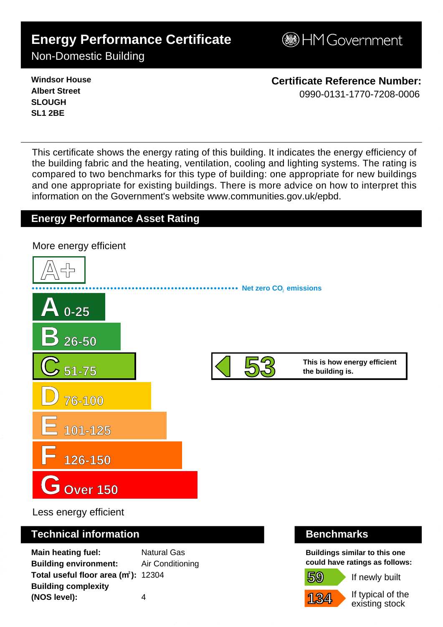# **Energy Performance Certificate**

**B**HM Government

# Non-Domestic Building

**Windsor House Albert Street SLOUGH SL1 2BE**

**Certificate Reference Number:** 0990-0131-1770-7208-0006

This certificate shows the energy rating of this building. It indicates the energy efficiency of the building fabric and the heating, ventilation, cooling and lighting systems. The rating is compared to two benchmarks for this type of building: one appropriate for new buildings and one appropriate for existing buildings. There is more advice on how to interpret this information on the Government's websit[e www.communities.gov.uk/epbd.](http://www.communities.gov.uk/epbd)

# **Energy Performance Asset Rating**



Less energy efficient

## **Technical information Benchmarks**

**Main heating fuel:** Natural Gas **Building environment:** Air Conditioning Total useful floor area (m<sup>2</sup>): 12304 **Building complexity (NOS level):** 4

**Buildings similar to this one could have ratings as follows:**

If newly built



**59**

If typical of the existing stock